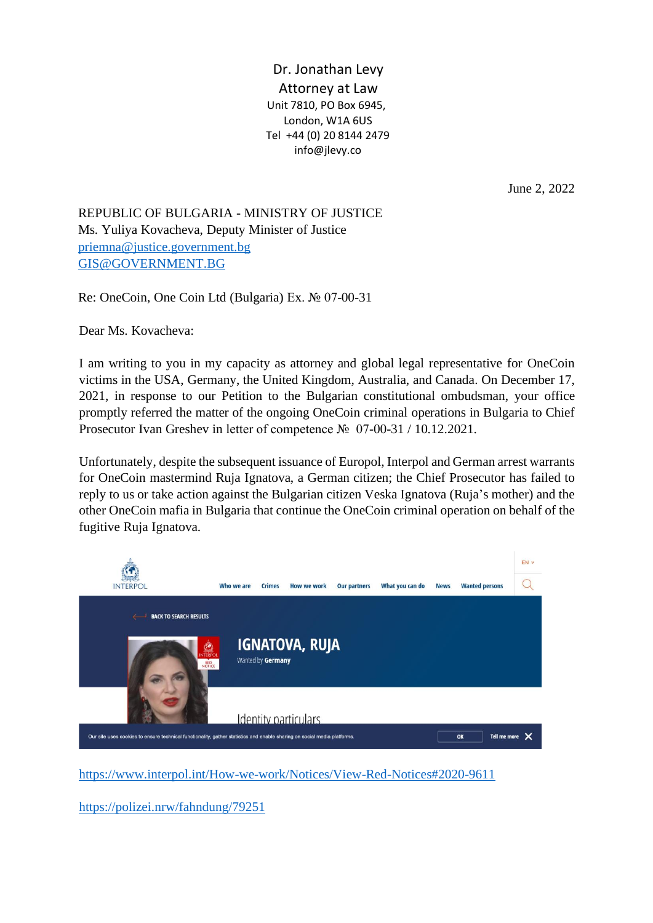Dr. Jonathan Levy Attorney at Law Unit 7810, PO Box 6945, London, W1A 6US Tel +44 (0) 20 8144 2479 info@jlevy.co

June 2, 2022

REPUBLIC OF BULGARIA - MINISTRY OF JUSTICE Ms. Yuliya Kovacheva, Deputy Minister of Justice [priemna@justice.government.bg](mailto:priemna@justice.government.bg) [GIS@GOVERNMENT.BG](mailto:GIS@GOVERNMENT.BG)

Re: OneCoin, One Coin Ltd (Bulgaria) Ex. № 07-00-31

Dear Ms. Kovacheva:

I am writing to you in my capacity as attorney and global legal representative for OneCoin victims in the USA, Germany, the United Kingdom, Australia, and Canada. On December 17, 2021, in response to our Petition to the Bulgarian constitutional ombudsman, your office promptly referred the matter of the ongoing OneCoin criminal operations in Bulgaria to Chief Prosecutor Ivan Greshev in letter of competence № 07-00-31 / 10.12.2021.

Unfortunately, despite the subsequent issuance of Europol, Interpol and German arrest warrants for OneCoin mastermind Ruja Ignatova, a German citizen; the Chief Prosecutor has failed to reply to us or take action against the Bulgarian citizen Veska Ignatova (Ruja's mother) and the other OneCoin mafia in Bulgaria that continue the OneCoin criminal operation on behalf of the fugitive Ruja Ignatova.



<https://www.interpol.int/How-we-work/Notices/View-Red-Notices#2020-9611>

<https://polizei.nrw/fahndung/79251>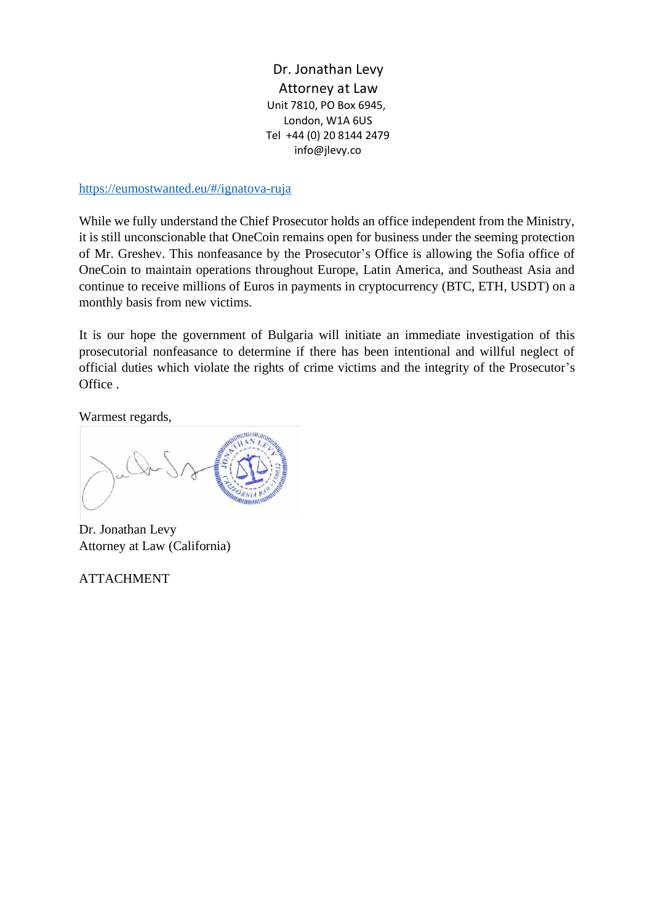Dr. Jonathan Levy Attorney at Law Unit 7810, PO Box 6945, London, W1A 6US Tel +44 (0) 20 8144 2479 info@jlevy.co

## <https://eumostwanted.eu/#/ignatova-ruja>

While we fully understand the Chief Prosecutor holds an office independent from the Ministry, it is still unconscionable that OneCoin remains open for business under the seeming protection of Mr. Greshev. This nonfeasance by the Prosecutor's Office is allowing the Sofia office of OneCoin to maintain operations throughout Europe, Latin America, and Southeast Asia and continue to receive millions of Euros in payments in cryptocurrency (BTC, ETH, USDT) on a monthly basis from new victims.

It is our hope the government of Bulgaria will initiate an immediate investigation of this prosecutorial nonfeasance to determine if there has been intentional and willful neglect of official duties which violate the rights of crime victims and the integrity of the Prosecutor's Office .

Warmest regards,

Dr. Jonathan Levy Attorney at Law (California)

ATTACHMENT